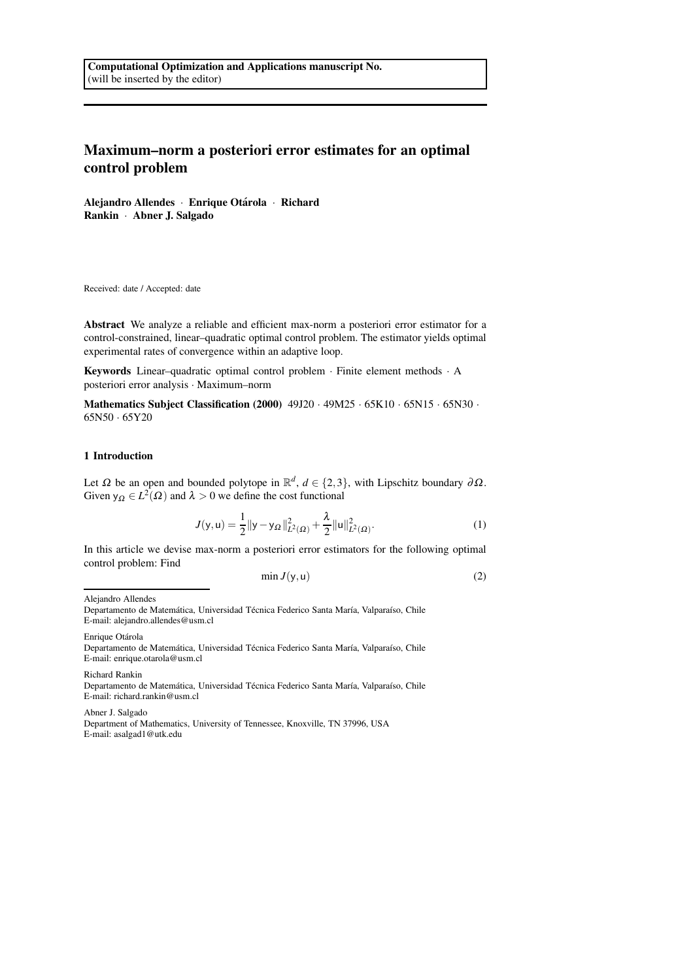# Maximum–norm a posteriori error estimates for an optimal control problem

Alejandro Allendes · Enrique Otárola · Richard Rankin · Abner J. Salgado

Received: date / Accepted: date

Abstract We analyze a reliable and efficient max-norm a posteriori error estimator for a control-constrained, linear–quadratic optimal control problem. The estimator yields optimal experimental rates of convergence within an adaptive loop.

Keywords Linear–quadratic optimal control problem · Finite element methods · A posteriori error analysis · Maximum–norm

Mathematics Subject Classification (2000) 49J20 · 49M25 · 65K10 · 65N15 · 65N30 · 65N50 · 65Y20

# 1 Introduction

Let  $\Omega$  be an open and bounded polytope in  $\mathbb{R}^d$ ,  $d \in \{2,3\}$ , with Lipschitz boundary  $\partial \Omega$ . Given  $y_{\Omega} \in L^2(\Omega)$  and  $\lambda > 0$  we define the cost functional

$$
J(y, u) = \frac{1}{2} ||y - y_{\Omega}||_{L^{2}(\Omega)}^{2} + \frac{\lambda}{2} ||u||_{L^{2}(\Omega)}^{2}.
$$
 (1)

In this article we devise max-norm a posteriori error estimators for the following optimal control problem: Find

<span id="page-0-0"></span>
$$
\min J(\mathsf{y}, \mathsf{u}) \tag{2}
$$

Alejandro Allendes

Departamento de Matemática, Universidad Técnica Federico Santa María, Valparaíso, Chile E-mail: alejandro.allendes@usm.cl

Enrique Otárola Departamento de Matemática, Universidad Técnica Federico Santa María, Valparaíso, Chile E-mail: enrique.otarola@usm.cl

Richard Rankin Departamento de Matemática, Universidad Técnica Federico Santa María, Valparaíso, Chile E-mail: richard.rankin@usm.cl

Abner J. Salgado Department of Mathematics, University of Tennessee, Knoxville, TN 37996, USA E-mail: asalgad1@utk.edu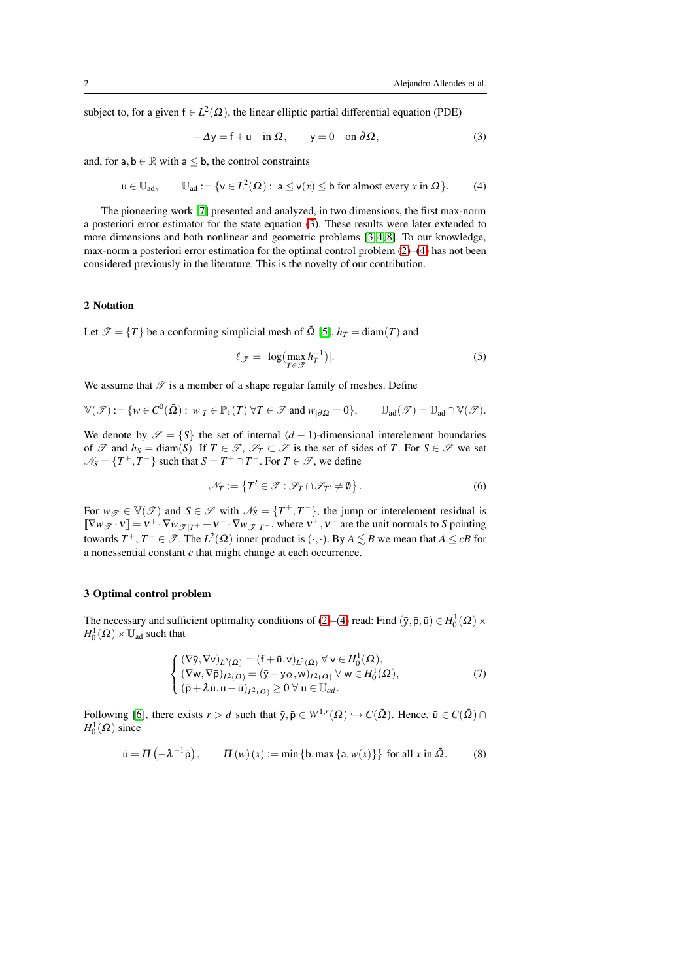subject to, for a given  $f \in L^2(\Omega)$ , the linear elliptic partial differential equation (PDE)

<span id="page-1-0"></span>
$$
-\Delta y = f + u \quad \text{in } \Omega, \qquad y = 0 \quad \text{on } \partial \Omega,
$$
 (3)

and, for  $a, b \in \mathbb{R}$  with  $a \leq b$ , the control constraints

<span id="page-1-1"></span>
$$
u \in \mathbb{U}_{ad}, \qquad \mathbb{U}_{ad} := \{ v \in L^2(\Omega) : a \le v(x) \le b \text{ for almost every } x \text{ in } \Omega \}. \tag{4}
$$

The pioneering work [\[7\]](#page-8-0) presented and analyzed, in two dimensions, the first max-norm a posteriori error estimator for the state equation [\(3\)](#page-1-0). These results were later extended to more dimensions and both nonlinear and geometric problems [\[3,](#page-8-1) [4,](#page-8-2) [8\]](#page-8-3). To our knowledge, max-norm a posteriori error estimation for the optimal control problem  $(2)$ – $(4)$  has not been considered previously in the literature. This is the novelty of our contribution.

### 2 Notation

Let  $\mathcal{T} = \{T\}$  be a conforming simplicial mesh of  $\overline{\Omega}$  [\[5\]](#page-8-4),  $h_T = \text{diam}(T)$  and

$$
\ell_{\mathcal{F}} = |\log(\max_{T \in \mathcal{F}} h_T^{-1})|.
$$
 (5)

We assume that  $\mathscr T$  is a member of a shape regular family of meshes. Define

$$
\mathbb{V}(\mathscr{T}):=\{w\in C^0(\bar{\Omega}):\ w_{|T}\in\mathbb{P}_1(T)\ \forall T\in\mathscr{T}\ \text{and}\ w_{|\partial\Omega}=0\},\qquad \mathbb{U}_{\text{ad}}(\mathscr{T})=\mathbb{U}_{\text{ad}}\cap\mathbb{V}(\mathscr{T}).
$$

We denote by  $\mathscr{S} = \{S\}$  the set of internal  $(d-1)$ -dimensional interelement boundaries of  $\mathscr{T}$  and  $h_S = \text{diam}(S)$ . If  $T \in \mathscr{T}$ ,  $\mathscr{S}_T \subset \mathscr{S}$  is the set of sides of *T*. For  $S \in \mathscr{S}$  we set  $\mathcal{N}_S = \{T^+, T^-\}$  such that  $S = T^+ \cap T^-$ . For  $T \in \mathcal{T}$ , we define

$$
\mathcal{N}_T := \{ T' \in \mathcal{T} : \mathcal{S}_T \cap \mathcal{S}_{T'} \neq \emptyset \}.
$$
 (6)

For  $w_{\mathscr{T}} \in \mathbb{V}(\mathscr{T})$  and  $S \in \mathscr{S}$  with  $\mathscr{N}_S = \{T^+, T^-\}$ , the jump or interelement residual is  $[\nabla w \mathscr{F} \cdot v] = v^+ \cdot \nabla w \mathscr{F} |_{T^+} + v^- \cdot \nabla w \mathscr{F} |_{T^-}$ , where  $v^+$ ,  $v^-$  are the unit normals to *S* pointing towards  $T^+$ ,  $T^- \in \mathcal{T}$ . The  $L^2(\Omega)$  inner product is  $( \cdot, \cdot)$ . By  $A \leq B$  we mean that  $A \leq cB$  for a nonessential constant *c* that might change at each occurrence.

#### 3 Optimal control problem

The necessary and sufficient optimality conditions of [\(2\)](#page-0-0)–[\(4\)](#page-1-1) read: Find  $(\bar{y}, \bar{p}, \bar{u}) \in H_0^1(\Omega) \times$  $H_0^1(\Omega) \times \mathbb{U}_{ad}$  such that

<span id="page-1-2"></span>
$$
\begin{cases}\n(\nabla \bar{y}, \nabla \mathbf{v})_{L^2(\Omega)} = (f + \bar{\mathbf{u}}, \mathbf{v})_{L^2(\Omega)} \forall \mathbf{v} \in H_0^1(\Omega), \\
(\nabla \mathbf{w}, \nabla \bar{\mathbf{p}})_{L^2(\Omega)} = (\bar{y} - \mathbf{y}_\Omega, \mathbf{w})_{L^2(\Omega)} \forall \mathbf{w} \in H_0^1(\Omega), \\
(\bar{\mathbf{p}} + \lambda \bar{\mathbf{u}}, \mathbf{u} - \bar{\mathbf{u}})_{L^2(\Omega)} \ge 0 \forall \mathbf{u} \in \mathbb{U}_{ad}.\n\end{cases} (7)
$$

Following [\[6\]](#page-8-5), there exists  $r > d$  such that  $\bar{y}, \bar{p} \in W^{1,r}(\Omega) \hookrightarrow C(\bar{\Omega})$ . Hence,  $\bar{u} \in C(\bar{\Omega}) \cap$  $H_0^1(\Omega)$  since

<span id="page-1-3"></span>
$$
\bar{\mathbf{u}} = \Pi\left(-\lambda^{-1}\bar{\mathbf{p}}\right), \qquad \Pi\left(w\right)(x) := \min\left\{\mathbf{b}, \max\left\{\mathbf{a}, w(x)\right\}\right\} \text{ for all } x \text{ in } \bar{\Omega}. \tag{8}
$$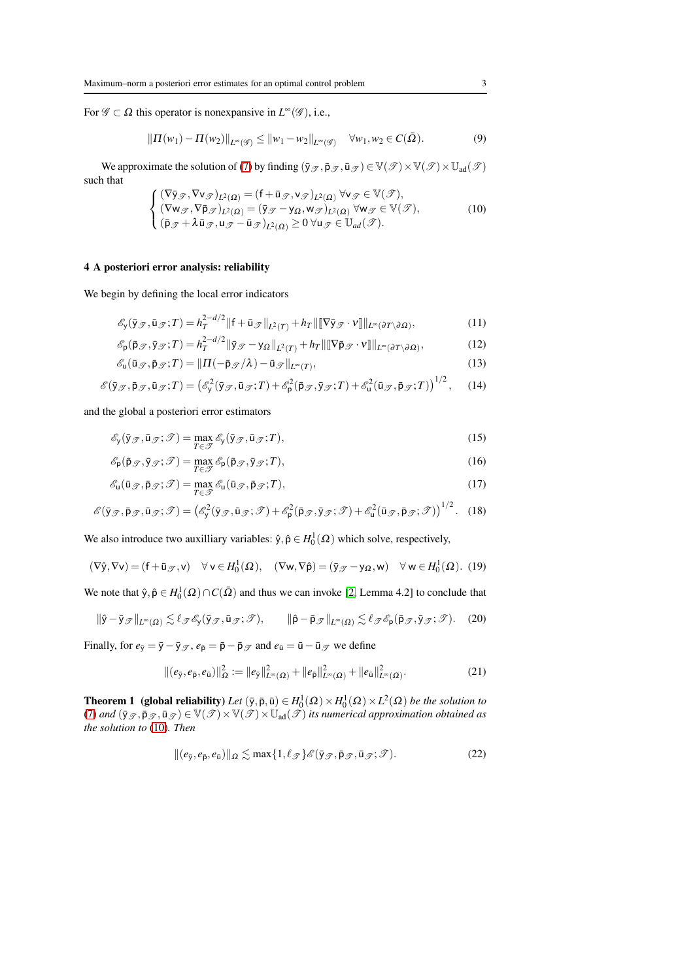For  $\mathscr{G} \subset \Omega$  this operator is nonexpansive in  $L^{\infty}(\mathscr{G})$ , i.e.,

<span id="page-2-1"></span>
$$
||\Pi(w_1) - \Pi(w_2)||_{L^{\infty}(\mathscr{G})} \le ||w_1 - w_2||_{L^{\infty}(\mathscr{G})} \quad \forall w_1, w_2 \in C(\bar{\Omega}).
$$
\n(9)

We approximate the solution of [\(7\)](#page-1-2) by finding  $(\bar{y}_{\mathcal{T}}, \bar{p}_{\mathcal{T}}, \bar{u}_{\mathcal{T}}) \in V(\mathcal{T}) \times V(\mathcal{T}) \times \mathbb{U}_{ad}(\mathcal{T})$ such that

<span id="page-2-0"></span>
$$
\begin{cases}\n(\nabla \bar{y}_{\mathcal{F}}, \nabla \mathbf{v}_{\mathcal{F}})_{L^2(\Omega)} = (f + \bar{u}_{\mathcal{F}}, \mathbf{v}_{\mathcal{F}})_{L^2(\Omega)} \forall \mathbf{v}_{\mathcal{F}} \in \mathbb{V}(\mathcal{F}),\\ \n(\nabla \mathbf{w}_{\mathcal{F}}, \nabla \bar{p}_{\mathcal{F}})_{L^2(\Omega)} = (\bar{y}_{\mathcal{F}} - y_{\Omega}, \mathbf{w}_{\mathcal{F}})_{L^2(\Omega)} \forall \mathbf{w}_{\mathcal{F}} \in \mathbb{V}(\mathcal{F}),\\ \n(\bar{p}_{\mathcal{F}} + \lambda \bar{u}_{\mathcal{F}}, \mathbf{u}_{\mathcal{F}} - \bar{u}_{\mathcal{F}})_{L^2(\Omega)} \geq 0 \,\forall \mathbf{u}_{\mathcal{F}} \in \mathbb{U}_{ad}(\mathcal{F}).\n\end{cases} (10)
$$

# 4 A posteriori error analysis: reliability

We begin by defining the local error indicators

$$
\mathscr{E}_{\mathsf{y}}(\bar{\mathsf{y}}_{\mathscr{T}},\bar{\mathsf{u}}_{\mathscr{T}};\boldsymbol{T}) = h_{\boldsymbol{T}}^{2-d/2} \|\mathsf{f} + \bar{\mathsf{u}}_{\mathscr{T}}\|_{L^{2}(\boldsymbol{T})} + h_{\boldsymbol{T}}\| \|\nabla \bar{\mathsf{y}}_{\mathscr{T}} \cdot \mathsf{v}\|_{L^{\infty}(\partial \boldsymbol{T} \setminus \partial \Omega)},\tag{11}
$$

$$
\mathscr{E}_{\mathsf{p}}(\bar{\mathsf{p}}_{\mathscr{T}}, \bar{\mathsf{y}}_{\mathscr{T}}; T) = h_T^{2-d/2} \|\bar{\mathsf{y}}_{\mathscr{T}} - \mathsf{y}_{\Omega}\|_{L^2(T)} + h_T \|\nabla \bar{\mathsf{p}}_{\mathscr{T}} \cdot \mathsf{v}\|_{L^\infty(\partial T \setminus \partial \Omega)},\tag{12}
$$

$$
\mathscr{E}_{\mathsf{u}}(\bar{\mathsf{u}}_{\mathscr{T}},\bar{\mathsf{p}}_{\mathscr{T}};T)=\|\Pi(-\bar{\mathsf{p}}_{\mathscr{T}}/\lambda)-\bar{\mathsf{u}}_{\mathscr{T}}\|_{L^{\infty}(T)},\tag{13}
$$

$$
\mathscr{E}(\bar{\mathbf{y}}_{\mathscr{T}},\bar{\mathbf{p}}_{\mathscr{T}},\bar{\mathbf{u}}_{\mathscr{T}};\mathbf{T}) = \left(\mathscr{E}_{\mathbf{y}}^{2}(\bar{\mathbf{y}}_{\mathscr{T}},\bar{\mathbf{u}}_{\mathscr{T}};\mathbf{T}) + \mathscr{E}_{\mathbf{p}}^{2}(\bar{\mathbf{p}}_{\mathscr{T}},\bar{\mathbf{y}}_{\mathscr{T}};\mathbf{T}) + \mathscr{E}_{\mathbf{u}}^{2}(\bar{\mathbf{u}}_{\mathscr{T}},\bar{\mathbf{p}}_{\mathscr{T}};\mathbf{T})\right)^{1/2},\qquad(14)
$$

and the global a posteriori error estimators

<span id="page-2-5"></span>
$$
\mathscr{E}_{\mathsf{y}}(\bar{\mathsf{y}}_{\mathscr{T}},\bar{\mathsf{u}}_{\mathscr{T}};\mathscr{T}) = \max_{T \in \mathscr{T}} \mathscr{E}_{\mathsf{y}}(\bar{\mathsf{y}}_{\mathscr{T}},\bar{\mathsf{u}}_{\mathscr{T}};T),\tag{15}
$$

$$
\mathcal{E}_{\mathsf{p}}(\bar{\mathsf{p}}_{\mathcal{F}}, \bar{\mathsf{y}}_{\mathcal{F}}; \mathcal{F}) = \max_{T \in \mathcal{F}} \mathcal{E}_{\mathsf{p}}(\bar{\mathsf{p}}_{\mathcal{F}}, \bar{\mathsf{y}}_{\mathcal{F}}; T),
$$
(16)

$$
\mathcal{E}_{\mathsf{u}}(\bar{\mathsf{u}}_{\mathcal{F}}, \bar{\mathsf{p}}_{\mathcal{F}}; \mathcal{F}) = \max_{T \in \mathcal{F}} \mathcal{E}_{\mathsf{u}}(\bar{\mathsf{u}}_{\mathcal{F}}, \bar{\mathsf{p}}_{\mathcal{F}}; T),
$$
\n(17)

$$
\mathscr{E}(\bar{\mathbf{y}}_{\mathscr{T}},\bar{\mathbf{p}}_{\mathscr{T}},\bar{\mathbf{u}}_{\mathscr{T}};\mathscr{T}) = \left(\mathscr{E}_{\mathbf{y}}^{2}(\bar{\mathbf{y}}_{\mathscr{T}},\bar{\mathbf{u}}_{\mathscr{T}};\mathscr{T}) + \mathscr{E}_{\mathbf{p}}^{2}(\bar{\mathbf{p}}_{\mathscr{T}},\bar{\mathbf{y}}_{\mathscr{T}};\mathscr{T}) + \mathscr{E}_{\mathbf{u}}^{2}(\bar{\mathbf{u}}_{\mathscr{T}},\bar{\mathbf{p}}_{\mathscr{T}};\mathscr{T})\right)^{1/2}.
$$
 (18)

We also introduce two auxilliary variables:  $\hat{y}, \hat{p} \in H_0^1(\Omega)$  which solve, respectively,

$$
(\nabla \hat{\mathbf{y}}, \nabla \mathbf{v}) = (\mathbf{f} + \bar{\mathbf{u}}_{\mathscr{T}}, \mathbf{v}) \quad \forall \mathbf{v} \in H_0^1(\Omega), \quad (\nabla \mathbf{w}, \nabla \hat{\mathbf{p}}) = (\bar{\mathbf{y}}_{\mathscr{T}} - \mathbf{y}_{\Omega}, \mathbf{w}) \quad \forall \mathbf{w} \in H_0^1(\Omega). \tag{19}
$$

We note that  $\hat{y}, \hat{p} \in H_0^1(\Omega) \cap C(\bar{\Omega})$  and thus we can invoke [\[2,](#page-8-6) Lemma 4.2] to conclude that

<span id="page-2-3"></span>
$$
\|\hat{\mathbf{y}} - \bar{\mathbf{y}}_{\mathcal{F}}\|_{L^{\infty}(\Omega)} \lesssim \ell_{\mathcal{F}} \mathscr{E}_{\mathbf{y}}(\bar{\mathbf{y}}_{\mathcal{F}}, \bar{\mathbf{u}}_{\mathcal{F}}; \mathcal{F}), \qquad \|\hat{\mathbf{p}} - \bar{\mathbf{p}}_{\mathcal{F}}\|_{L^{\infty}(\Omega)} \lesssim \ell_{\mathcal{F}} \mathscr{E}_{\mathbf{p}}(\bar{\mathbf{p}}_{\mathcal{F}}, \bar{\mathbf{y}}_{\mathcal{F}}; \mathcal{F}). \tag{20}
$$

Finally, for  $e_{\bar{y}} = \bar{y} - \bar{y}_{\mathcal{T}}$ ,  $e_{\bar{p}} = \bar{p} - \bar{p}_{\mathcal{T}}$  and  $e_{\bar{u}} = \bar{u} - \bar{u}_{\mathcal{T}}$  we define

<span id="page-2-2"></span>
$$
\|(e_{\bar{y}}, e_{\bar{p}}, e_{\bar{u}})\|_{\Omega}^{2} := \|e_{\bar{y}}\|_{L^{\infty}(\Omega)}^{2} + \|e_{\bar{p}}\|_{L^{\infty}(\Omega)}^{2} + \|e_{\bar{u}}\|_{L^{\infty}(\Omega)}^{2}.
$$
\n(21)

<span id="page-2-4"></span>**Theorem 1** (global reliability) *Let*  $(\bar{y}, \bar{p}, \bar{u}) \in H_0^1(\Omega) \times H_0^1(\Omega) \times L^2(\Omega)$  *be the solution to* [\(7\)](#page-1-2) and  $(\bar{y}_{\mathcal{F}}, \bar{p}_{\mathcal{F}}, \bar{u}_{\mathcal{F}}) \in V(\mathcal{F}) \times V(\mathcal{F}) \times U_{ad}(\mathcal{F})$  *its numerical approximation obtained as the solution to* [\(10\)](#page-2-0)*. Then*

$$
\| (e_{\bar{y}}, e_{\bar{p}}, e_{\bar{u}}) \|_{\Omega} \lesssim \max\{1, \ell_{\mathcal{F}}\} \mathcal{E}(\bar{y}_{\mathcal{F}}, \bar{p}_{\mathcal{F}}, \bar{u}_{\mathcal{F}}; \mathcal{F}). \tag{22}
$$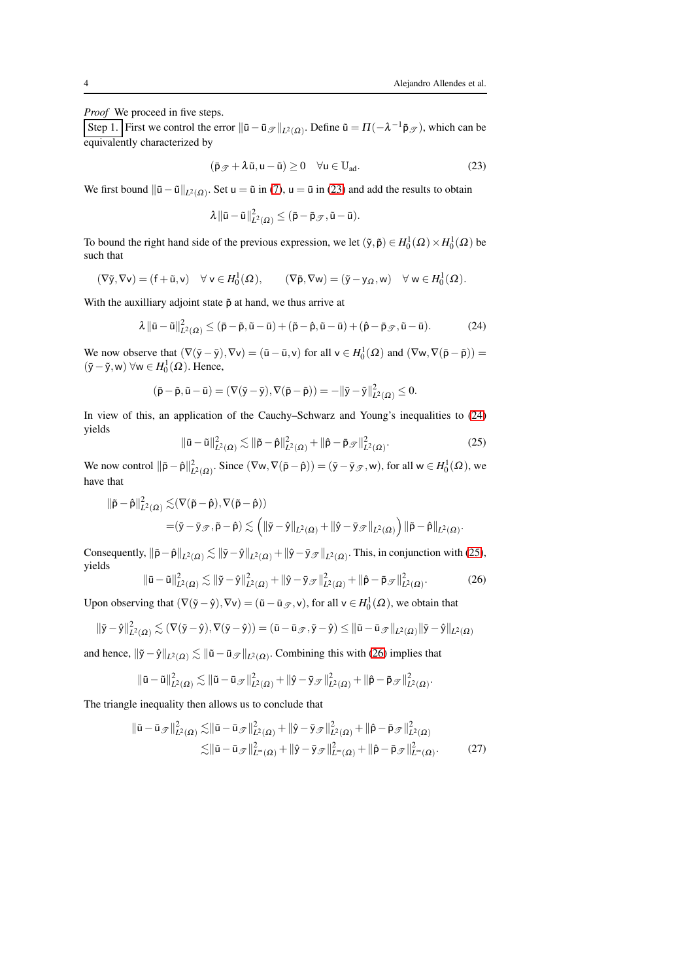*Proof* We proceed in five steps.

Step 1. First we control the error  $\|\bar{\mathbf{u}} - \bar{\mathbf{u}}_{\mathcal{S}}\|_{L^2(\Omega)}$ . Define  $\tilde{\mathbf{u}} = \Pi(-\lambda^{-1}\bar{\mathbf{p}}_{\mathcal{S}})$ , which can be equivalently characterized by

<span id="page-3-0"></span>
$$
(\bar{p}_{\mathscr{T}} + \lambda \tilde{u}, u - \tilde{u}) \ge 0 \quad \forall u \in \mathbb{U}_{ad}.\tag{23}
$$

We first bound  $\|\bar{u} - \tilde{u}\|_{L^2(\Omega)}$ . Set  $u = \tilde{u}$  in [\(7\)](#page-1-2),  $u = \bar{u}$  in [\(23\)](#page-3-0) and add the results to obtain

$$
\lambda \|\bar {\mathbf u}-\tilde {\mathbf u}\|_{L^2(\varOmega)}^2 \leq (\bar {\mathbf p} - \bar {\mathbf p}_{\mathscr{T}},\tilde {\mathbf u} - \bar {\mathbf u}).
$$

To bound the right hand side of the previous expression, we let  $(\tilde{y}, \tilde{p}) \in H_0^1(\Omega) \times H_0^1(\Omega)$  be such that

$$
(\nabla \tilde{\mathbf{y}}, \nabla \mathbf{v}) = (\mathbf{f} + \tilde{\mathbf{u}}, \mathbf{v}) \quad \forall \; \mathbf{v} \in H_0^1(\Omega), \qquad (\nabla \tilde{\mathbf{p}}, \nabla \mathbf{w}) = (\tilde{\mathbf{y}} - \mathbf{y}_\Omega, \mathbf{w}) \quad \forall \; \mathbf{w} \in H_0^1(\Omega).
$$

With the auxilliary adjoint state  $\tilde{p}$  at hand, we thus arrive at

<span id="page-3-1"></span>
$$
\lambda \|\bar{\mathbf{u}} - \tilde{\mathbf{u}}\|_{L^2(\Omega)}^2 \leq (\bar{\mathbf{p}} - \tilde{\mathbf{p}}, \tilde{\mathbf{u}} - \bar{\mathbf{u}}) + (\tilde{\mathbf{p}} - \hat{\mathbf{p}}, \tilde{\mathbf{u}} - \bar{\mathbf{u}}) + (\hat{\mathbf{p}} - \bar{\mathbf{p}}_{\mathscr{T}}, \tilde{\mathbf{u}} - \bar{\mathbf{u}}). \tag{24}
$$

We now observe that  $(\nabla(\tilde{y} - \tilde{y}), \nabla v) = (\tilde{u} - \bar{u}, v)$  for all  $v \in H_0^1(\Omega)$  and  $(\nabla w, \nabla(\bar{p} - \tilde{p})) =$  $(\bar{y} - \tilde{y}, w)$   $\forall w \in H_0^1(\Omega)$ . Hence,

$$
(\bar{\mathsf{p}}-\tilde{\mathsf{p}},\tilde{\mathsf{u}}-\bar{\mathsf{u}})=(\nabla(\tilde{\mathsf{y}}-\bar{\mathsf{y}}),\nabla(\bar{\mathsf{p}}-\tilde{\mathsf{p}}))=-\|\bar{\mathsf{y}}-\tilde{\mathsf{y}}\|^2_{L^2(\Omega)}\leq 0.
$$

In view of this, an application of the Cauchy–Schwarz and Young's inequalities to [\(24\)](#page-3-1) yields

<span id="page-3-2"></span>
$$
\|\bar{\mathbf{u}} - \tilde{\mathbf{u}}\|_{L^2(\Omega)}^2 \lesssim \|\tilde{\mathbf{p}} - \hat{\mathbf{p}}\|_{L^2(\Omega)}^2 + \|\hat{\mathbf{p}} - \bar{\mathbf{p}}_{\mathcal{F}}\|_{L^2(\Omega)}^2.
$$
 (25)

We now control  $\|\tilde{\mathbf{p}} - \hat{\mathbf{p}}\|_{L^2(\Omega)}^2$ . Since  $(\nabla w, \nabla(\tilde{\mathbf{p}} - \hat{\mathbf{p}})) = (\tilde{\mathbf{y}} - \tilde{\mathbf{y}}_{\mathcal{T}}, w)$ , for all  $w \in H_0^1(\Omega)$ , we have that

$$
\begin{aligned} \|\tilde{\mathsf{p}}-\hat{\mathsf{p}}\|^2_{L^2(\Omega)} \lesssim & (\nabla(\tilde{\mathsf{p}}-\hat{\mathsf{p}}), \nabla(\tilde{\mathsf{p}}-\hat{\mathsf{p}})) \\ =& (\tilde{\mathsf{y}}-\bar{\mathsf{y}}_\mathscr{T}, \tilde{\mathsf{p}}-\hat{\mathsf{p}}) \lesssim \Big( \|\tilde{\mathsf{y}}-\hat{\mathsf{y}}\|_{L^2(\Omega)} + \|\hat{\mathsf{y}}-\bar{\mathsf{y}}_\mathscr{T}\|_{L^2(\Omega)} \Big) \, \|\tilde{\mathsf{p}}-\hat{\mathsf{p}}\|_{L^2(\Omega)} . \end{aligned}
$$

Consequently,  $\|\tilde{\mathbf{p}} - \hat{\mathbf{p}}\|_{L^2(\Omega)} \lesssim \|\tilde{\mathbf{y}} - \hat{\mathbf{y}}\|_{L^2(\Omega)} + \|\hat{\mathbf{y}} - \bar{\mathbf{y}}_{\mathcal{T}}\|_{L^2(\Omega)}$ . This, in conjunction with [\(25\)](#page-3-2), yields

<span id="page-3-3"></span>
$$
\|\bar{\mathbf{u}} - \tilde{\mathbf{u}}\|_{L^2(\Omega)}^2 \lesssim \|\tilde{\mathbf{y}} - \hat{\mathbf{y}}\|_{L^2(\Omega)}^2 + \|\hat{\mathbf{y}} - \bar{\mathbf{y}}_{\mathcal{F}}\|_{L^2(\Omega)}^2 + \|\hat{\mathbf{p}} - \bar{\mathbf{p}}_{\mathcal{F}}\|_{L^2(\Omega)}^2.
$$
 (26)

Upon observing that  $(\nabla(\tilde{y} - \hat{y}), \nabla v) = (\tilde{u} - \bar{u}_{\mathscr{T}}, v)$ , for all  $v \in H_0^1(\Omega)$ , we obtain that

$$
\|\tilde{\mathbf{y}} - \hat{\mathbf{y}}\|_{L^2(\Omega)}^2 \lesssim (\nabla(\tilde{\mathbf{y}} - \hat{\mathbf{y}}), \nabla(\tilde{\mathbf{y}} - \hat{\mathbf{y}})) = (\tilde{\mathbf{u}} - \bar{\mathbf{u}}_{\mathscr{T}}, \tilde{\mathbf{y}} - \hat{\mathbf{y}}) \leq \|\tilde{\mathbf{u}} - \bar{\mathbf{u}}_{\mathscr{T}}\|_{L^2(\Omega)} \|\tilde{\mathbf{y}} - \hat{\mathbf{y}}\|_{L^2(\Omega)}
$$

and hence,  $\|\tilde{y} - \hat{y}\|_{L^2(\Omega)} \lesssim \|\tilde{u} - \bar{u}_{\mathscr{T}}\|_{L^2(\Omega)}$ . Combining this with [\(26\)](#page-3-3) implies that

$$
\|\bar{\mathbf{u}}-\tilde{\mathbf{u}}\|_{L^2(\Omega)}^2 \lesssim \|\tilde{\mathbf{u}}-\bar{\mathbf{u}}_{\mathscr{T}}\|_{L^2(\Omega)}^2 + \|\hat{\mathbf{y}}-\bar{\mathbf{y}}_{\mathscr{T}}\|_{L^2(\Omega)}^2 + \|\hat{\mathbf{p}}-\bar{\mathbf{p}}_{\mathscr{T}}\|_{L^2(\Omega)}^2.
$$

The triangle inequality then allows us to conclude that

<span id="page-3-4"></span>
$$
\|\bar{\mathbf{u}} - \bar{\mathbf{u}}_{\mathscr{T}}\|_{L^2(\Omega)}^2 \lesssim \|\tilde{\mathbf{u}} - \bar{\mathbf{u}}_{\mathscr{T}}\|_{L^2(\Omega)}^2 + \|\hat{\mathbf{y}} - \bar{\mathbf{y}}_{\mathscr{T}}\|_{L^2(\Omega)}^2 + \|\hat{\mathbf{p}} - \bar{\mathbf{p}}_{\mathscr{T}}\|_{L^2(\Omega)}^2 \lesssim \|\tilde{\mathbf{u}} - \bar{\mathbf{u}}_{\mathscr{T}}\|_{L^\infty(\Omega)}^2 + \|\hat{\mathbf{y}} - \bar{\mathbf{y}}_{\mathscr{T}}\|_{L^\infty(\Omega)}^2 + \|\hat{\mathbf{p}} - \bar{\mathbf{p}}_{\mathscr{T}}\|_{L^\infty(\Omega)}^2.
$$
\n(27)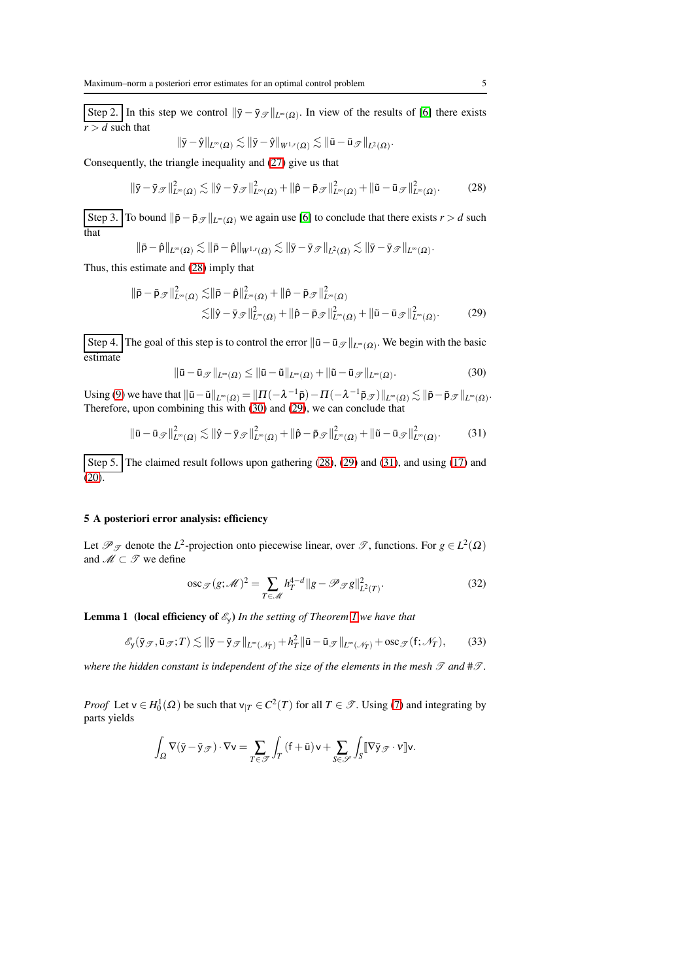Step 2. In this step we control  $\|\bar{y} - \bar{y}_{\mathscr{T}}\|_{L^{\infty}(\Omega)}$ . In view of the results of [\[6\]](#page-8-5) there exists  $r > d$  such that

$$
\|\bar{\mathsf{y}}-\hat{\mathsf{y}}\|_{L^\infty(\Omega)} \lesssim \|\bar{\mathsf{y}}-\hat{\mathsf{y}}\|_{W^{1,r}(\Omega)} \lesssim \|\bar{\mathsf{u}}-\bar{\mathsf{u}}_\mathscr{T}\|_{L^2(\Omega)}.
$$

Consequently, the triangle inequality and [\(27\)](#page-3-4) give us that

<span id="page-4-0"></span>
$$
\|\bar{\mathbf{y}} - \bar{\mathbf{y}}_{\mathcal{F}}\|_{L^{\infty}(\Omega)}^2 \lesssim \|\hat{\mathbf{y}} - \bar{\mathbf{y}}_{\mathcal{F}}\|_{L^{\infty}(\Omega)}^2 + \|\hat{\mathbf{p}} - \bar{\mathbf{p}}_{\mathcal{F}}\|_{L^{\infty}(\Omega)}^2 + \|\tilde{\mathbf{u}} - \bar{\mathbf{u}}_{\mathcal{F}}\|_{L^{\infty}(\Omega)}^2.
$$
 (28)

Step 3. To bound  $\|\bar{\mathsf{p}} - \bar{\mathsf{p}}_{\mathscr{T}}\|_{L^{\infty}(\Omega)}$  we again use [\[6\]](#page-8-5) to conclude that there exists  $r > d$  such that

$$
\|\bar{{\mathsf{p}}}-\hat{{\mathsf{p}}}\|_{L^\infty(\Omega)}\lesssim \|\bar{{\mathsf{p}}}-\hat{{\mathsf{p}}}\|_{W^{1,r}(\Omega)}\lesssim \|\bar{{\mathsf{y}}}-\bar{{\mathsf{y}}}_\mathscr{T}\|_{L^2(\Omega)}\lesssim \|\bar{{\mathsf{y}}}-\bar{{\mathsf{y}}}_\mathscr{T}\|_{L^\infty(\Omega)}.
$$

Thus, this estimate and [\(28\)](#page-4-0) imply that

$$
\|\bar{\mathbf{p}} - \bar{\mathbf{p}}_{\mathscr{T}}\|_{L^{\infty}(\Omega)}^2 \lesssim \|\bar{\mathbf{p}} - \hat{\mathbf{p}}\|_{L^{\infty}(\Omega)}^2 + \|\hat{\mathbf{p}} - \bar{\mathbf{p}}_{\mathscr{T}}\|_{L^{\infty}(\Omega)}^2
$$
  

$$
\lesssim \|\hat{\mathbf{y}} - \bar{\mathbf{y}}_{\mathscr{T}}\|_{L^{\infty}(\Omega)}^2 + \|\hat{\mathbf{p}} - \bar{\mathbf{p}}_{\mathscr{T}}\|_{L^{\infty}(\Omega)}^2 + \|\tilde{\mathbf{u}} - \bar{\mathbf{u}}_{\mathscr{T}}\|_{L^{\infty}(\Omega)}^2.
$$
 (29)

Step 4. The goal of this step is to control the error  $\|\bar{\mathbf{u}} - \bar{\mathbf{u}}_{\mathcal{S}}\|_{L^{\infty}(\Omega)}$ . We begin with the basic estimate

<span id="page-4-2"></span><span id="page-4-1"></span>
$$
\|\bar{\mathbf{u}} - \bar{\mathbf{u}}_{\mathscr{T}}\|_{L^{\infty}(\Omega)} \le \|\bar{\mathbf{u}} - \tilde{\mathbf{u}}\|_{L^{\infty}(\Omega)} + \|\tilde{\mathbf{u}} - \bar{\mathbf{u}}_{\mathscr{T}}\|_{L^{\infty}(\Omega)}.
$$
\n(30)

Using [\(9\)](#page-2-1) we have that  $\|\bar{\mathbf{u}} - \tilde{\mathbf{u}}\|_{L^{\infty}(\Omega)} = \| \Pi(-\lambda^{-1}\bar{\mathbf{p}}) - \Pi(-\lambda^{-1}\bar{\mathbf{p}}_{\mathcal{F}}) \|_{L^{\infty}(\Omega)} \lesssim \| \bar{\mathbf{p}} - \bar{\mathbf{p}}_{\mathcal{F}} \|_{L^{\infty}(\Omega)}$ . Therefore, upon combining this with [\(30\)](#page-4-1) and [\(29\)](#page-4-2), we can conclude that

<span id="page-4-3"></span>
$$
\|\bar{\mathbf{u}} - \bar{\mathbf{u}}_{\mathscr{T}}\|_{L^{\infty}(\Omega)}^2 \lesssim \|\hat{\mathbf{y}} - \bar{\mathbf{y}}_{\mathscr{T}}\|_{L^{\infty}(\Omega)}^2 + \|\hat{\mathbf{p}} - \bar{\mathbf{p}}_{\mathscr{T}}\|_{L^{\infty}(\Omega)}^2 + \|\tilde{\mathbf{u}} - \bar{\mathbf{u}}_{\mathscr{T}}\|_{L^{\infty}(\Omega)}^2. \tag{31}
$$

Step 5. The claimed result follows upon gathering [\(28\)](#page-4-0), [\(29\)](#page-4-2) and [\(31\)](#page-4-3), and using [\(17\)](#page-2-2) and  $(20).$  $(20).$ 

## 5 A posteriori error analysis: efficiency

Let  $\mathcal{P}_{\mathcal{F}}$  denote the *L*<sup>2</sup>-projection onto piecewise linear, over  $\mathcal{F}$ , functions. For  $g \in L^2(\Omega)$ and  $\mathcal{M} \subset \mathcal{T}$  we define

$$
\operatorname{osc}_{\mathscr{F}}(g;\mathscr{M})^2 = \sum_{T \in \mathscr{M}} h_T^{4-d} \|g - \mathscr{P}_{\mathscr{F}}g\|_{L^2(T)}^2.
$$
 (32)

**Lemma [1](#page-2-4)** (local efficiency of  $\mathcal{E}_y$ ) *In the setting of Theorem 1* we have that

<span id="page-4-4"></span>
$$
\mathscr{E}_{\mathsf{y}}(\bar{\mathsf{y}}_{\mathscr{T}},\bar{\mathsf{u}}_{\mathscr{T}};T) \lesssim \|\bar{\mathsf{y}}-\bar{\mathsf{y}}_{\mathscr{T}}\|_{L^{\infty}(\mathscr{N}_{T})} + h_{T}^{2}\|\bar{\mathsf{u}} - \bar{\mathsf{u}}_{\mathscr{T}}\|_{L^{\infty}(\mathscr{N}_{T})} + \mathrm{osc}_{\mathscr{T}}(\mathsf{f};\mathscr{N}_{T}),\qquad(33)
$$

*where the hidden constant is independent of the size of the elements in the mesh*  $\mathcal{T}$  *and*  $\sharp \mathcal{T}$ *.* 

*Proof* Let  $v \in H_0^1(\Omega)$  be such that  $v_{|T} \in C^2(T)$  for all  $T \in \mathcal{T}$ . Using [\(7\)](#page-1-2) and integrating by parts yields

$$
\int_{\Omega} \nabla (\bar{y} - \bar{y}_{\mathscr{T}}) \cdot \nabla \mathsf{v} = \sum_{T \in \mathscr{T}} \int_{T} (f + \bar{u}) \mathsf{v} + \sum_{S \in \mathscr{S}} \int_{S} [\nabla \bar{y}_{\mathscr{T}} \cdot \mathsf{v}] \mathsf{v}.
$$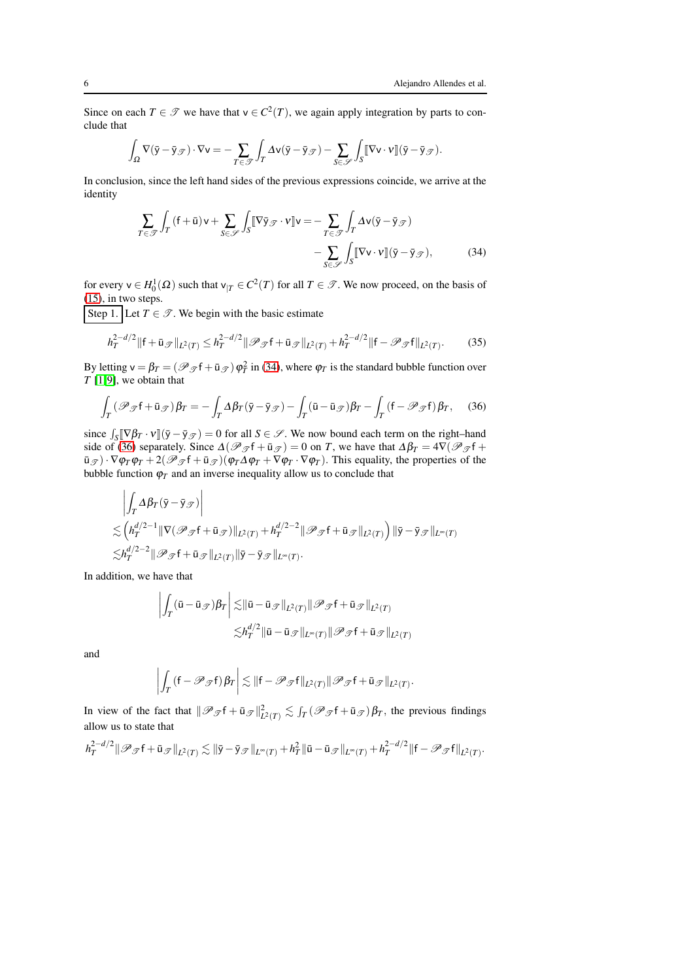Since on each  $T \in \mathcal{T}$  we have that  $v \in C^2(T)$ , we again apply integration by parts to conclude that

$$
\int_\Omega \nabla (\bar{\mathbf{y}}-\bar{\mathbf{y}}_\mathscr{T})\cdot \nabla \mathbf{v}=-\sum_{T\in\mathscr{T}}\int_T \varDelta \mathbf{v}(\bar{\mathbf{y}}-\bar{\mathbf{y}}_\mathscr{T})-\sum_{S\in\mathscr{S}}\int_S [\![\nabla \mathbf{v}\cdot \mathbf{v}]\!](\bar{\mathbf{y}}-\bar{\mathbf{y}}_\mathscr{T}).
$$

In conclusion, since the left hand sides of the previous expressions coincide, we arrive at the identity

<span id="page-5-0"></span>
$$
\sum_{T \in \mathcal{F}} \int_{T} (f + \bar{u}) v + \sum_{S \in \mathcal{S}} \int_{S} [\nabla \bar{y}_{\mathcal{F}} \cdot v] v = - \sum_{T \in \mathcal{F}} \int_{T} \Delta v (\bar{y} - \bar{y}_{\mathcal{F}}) - \sum_{S \in \mathcal{S}} \int_{S} [\nabla v \cdot v] (\bar{y} - \bar{y}_{\mathcal{F}}), \tag{34}
$$

for every  $v \in H_0^1(\Omega)$  such that  $v_{|T} \in C^2(T)$  for all  $T \in \mathcal{T}$ . We now proceed, on the basis of [\(15\)](#page-2-5), in two steps.

Step 1. Let  $T \in \mathcal{T}$ . We begin with the basic estimate

<span id="page-5-2"></span>
$$
h_T^{2-d/2} \|f + \bar{u}_{\mathscr{T}}\|_{L^2(T)} \le h_T^{2-d/2} \|\mathscr{P}_{\mathscr{T}}f + \bar{u}_{\mathscr{T}}\|_{L^2(T)} + h_T^{2-d/2} \|f - \mathscr{P}_{\mathscr{T}}f\|_{L^2(T)}.
$$
 (35)

By letting  $v = \beta_T = (\mathcal{P}_{\mathcal{T}}f + \bar{u}_{\mathcal{T}})\varphi_T^2$  in [\(34\)](#page-5-0), where  $\varphi_T$  is the standard bubble function over *T* [\[1,](#page-8-7)9], we obtain that

<span id="page-5-1"></span>
$$
\int_{T} (\mathscr{P}_{\mathscr{T}}f + \bar{u}_{\mathscr{T}}) \beta_{T} = -\int_{T} \Delta \beta_{T} (\bar{y} - \bar{y}_{\mathscr{T}}) - \int_{T} (\bar{u} - \bar{u}_{\mathscr{T}}) \beta_{T} - \int_{T} (f - \mathscr{P}_{\mathscr{T}}f) \beta_{T}, \quad (36)
$$

since  $\int_S [\nabla \beta_T \cdot v](\bar{y} - \bar{y}_{\mathcal{T}}) = 0$  for all  $S \in \mathcal{S}$ . We now bound each term on the right–hand side of [\(36\)](#page-5-1) separately. Since  $\Delta(\mathscr{P}_{\mathscr{T}}f + \bar{u}_{\mathscr{T}}) = 0$  on *T*, we have that  $\Delta\beta_T = 4\bar{\nabla}(\mathscr{P}_{\mathscr{T}}f +$  $\bar{\mathbf{u}}_{\mathcal{F}}$ ) ·  $\nabla \varphi_T \varphi_T + 2(\mathscr{P}_{\mathcal{F}} f + \bar{\mathbf{u}}_{\mathcal{F}})(\varphi_T \Delta \varphi_T + \nabla \varphi_T \cdot \nabla \varphi_T)$ . This equality, the properties of the bubble function  $\varphi_T$  and an inverse inequality allow us to conclude that

$$
\left| \int_T \Delta \beta_T (\bar{\mathbf{y}} - \bar{\mathbf{y}}_{\mathcal{F}}) \right|
$$
  
\n
$$
\leq \left( h_T^{d/2-1} \|\nabla (\mathcal{P}_{\mathcal{F}} f + \bar{\mathbf{u}}_{\mathcal{F}}) \|_{L^2(T)} + h_T^{d/2-2} \|\mathcal{P}_{\mathcal{F}} f + \bar{\mathbf{u}}_{\mathcal{F}} \|_{L^2(T)} \right) \|\bar{\mathbf{y}} - \bar{\mathbf{y}}_{\mathcal{F}} \|_{L^{\infty}(T)}
$$
  
\n
$$
\lesssim h_T^{d/2-2} \|\mathcal{P}_{\mathcal{F}} f + \bar{\mathbf{u}}_{\mathcal{F}} \|_{L^2(T)} \|\bar{\mathbf{y}} - \bar{\mathbf{y}}_{\mathcal{F}} \|_{L^{\infty}(T)}.
$$

In addition, we have that

$$
\left| \int_T (\bar{\mathbf{u}} - \bar{\mathbf{u}}_{\mathscr{T}}) \beta_T \right| \lesssim \left\| \bar{\mathbf{u}} - \bar{\mathbf{u}}_{\mathscr{T}} \right\|_{L^2(T)} \|\mathscr{P}_{\mathscr{T}} f + \bar{\mathbf{u}}_{\mathscr{T}}\|_{L^2(T)} \le \left\| \int_T^{d/2} \left\| \bar{\mathbf{u}} - \bar{\mathbf{u}}_{\mathscr{T}} \right\|_{L^\infty(T)} \|\mathscr{P}_{\mathscr{T}} f + \bar{\mathbf{u}}_{\mathscr{T}}\|_{L^2(T)} \right\|_{L^2(T)}
$$

and

$$
\left|\int_T (f - \mathscr{P}_{\mathscr{T}}f)\beta_T\right| \lesssim \|f - \mathscr{P}_{\mathscr{T}}f\|_{L^2(T)} \|\mathscr{P}_{\mathscr{T}}f + \bar{u}_{\mathscr{T}}\|_{L^2(T)}.
$$

In view of the fact that  $\|\mathcal{P}_{\mathcal{F}}f + \bar{u}_{\mathcal{F}}\|_{L^2(T)}^2 \lesssim \int_T (\mathcal{P}_{\mathcal{F}}f + \bar{u}_{\mathcal{F}}) \beta_T$ , the previous findings allow us to state that

$$
h_T^{2-d/2}\|\mathscr{P}_{\mathscr{T}}f+\bar{\mathbf{u}}_{\mathscr{T}}\|_{L^2(T)}\lesssim \|\bar{\mathbf{y}}-\bar{\mathbf{y}}_{\mathscr{T}}\|_{L^\infty(T)}+h_T^2\|\bar{\mathbf{u}}-\bar{\mathbf{u}}_{\mathscr{T}}\|_{L^\infty(T)}+h_T^{2-d/2}\|\mathbf{f}-\mathscr{P}_{\mathscr{T}}f\|_{L^2(T)}.
$$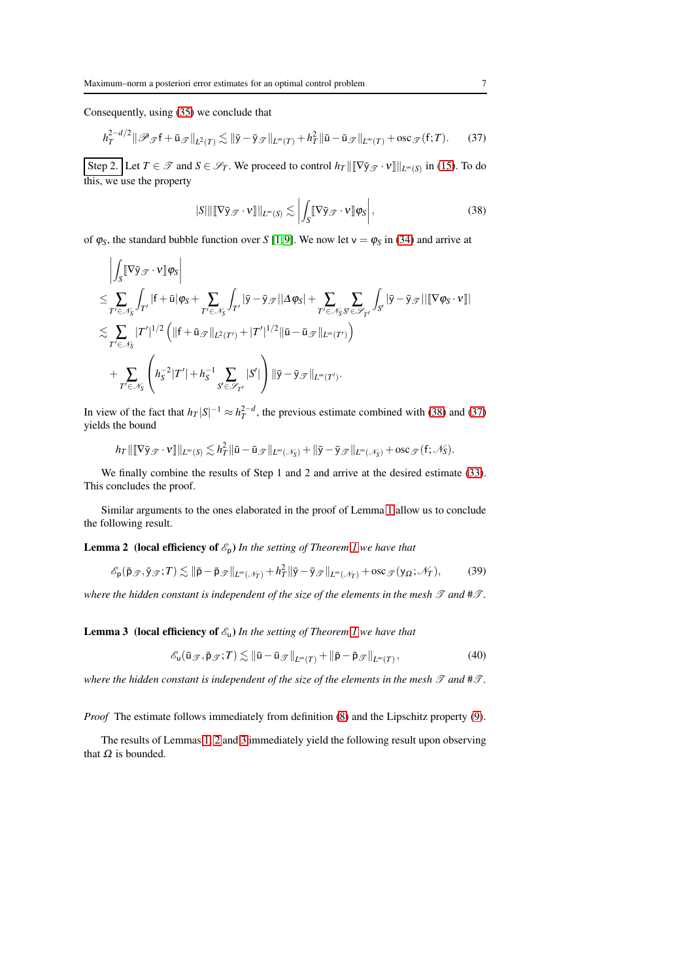Consequently, using [\(35\)](#page-5-2) we conclude that

<span id="page-6-1"></span>
$$
h_T^{2-d/2} \|\mathscr{P}_{\mathscr{T}}f + \bar{\mathbf{u}}_{\mathscr{T}}\|_{L^2(T)} \lesssim \|\bar{\mathbf{y}} - \bar{\mathbf{y}}_{\mathscr{T}}\|_{L^\infty(T)} + h_T^2 \|\bar{\mathbf{u}} - \bar{\mathbf{u}}_{\mathscr{T}}\|_{L^\infty(T)} + \text{osc}_{\mathscr{T}}(f;T). \tag{37}
$$

Step 2. Let  $T \in \mathcal{T}$  and  $S \in \mathcal{S}_T$ . We proceed to control  $h_T ||[\nabla \bar{y}_{\mathcal{T}} \cdot \mathbf{v}]]|_{L^{\infty}(S)}$  in [\(15\)](#page-2-5). To do this, we use the property

<span id="page-6-0"></span>
$$
|S|\|\[\nabla \bar{\mathbf{y}}_{\mathcal{F}} \cdot \mathbf{v}]\|_{L^{\infty}(S)} \lesssim \left| \int_{S} [\nabla \bar{\mathbf{y}}_{\mathcal{F}} \cdot \mathbf{v}]\varphi_{S} \right|,
$$
\n(38)

of  $\varphi$ *s*, the standard bubble function over *S* [\[1,](#page-8-7)9]. We now let  $v = \varphi$ *s* in [\(34\)](#page-5-0) and arrive at

$$
\begin{split}\n&\left|\int_{S} \left\|\nabla \bar{y}_{\mathscr{T}} \cdot \mathbf{v}\right\| \varphi_{S}\right| \\
&\leq \sum_{T' \in \mathscr{N}_{S}} \int_{T'} \left|f + \bar{u} \right| \varphi_{S} + \sum_{T' \in \mathscr{N}_{S}} \int_{T'} \left| \bar{y} - \bar{y}_{\mathscr{T}} \right| \left| \Delta \varphi_{S} \right| + \sum_{T' \in \mathscr{N}_{S}} \sum_{S' \in \mathscr{S}_{T'}} \int_{S'} \left| \bar{y} - \bar{y}_{\mathscr{T}} \right| \left\| \left[ \nabla \varphi_{S} \cdot \mathbf{v} \right] \right| \\
&\lesssim \sum_{T' \in \mathscr{N}_{S}} |T'|^{1/2} \left( \left\| f + \bar{u}_{\mathscr{T}} \right\|_{L^{2}(T')} + |T'|^{1/2} \right\| \bar{u} - \bar{u}_{\mathscr{T}} \right\|_{L^{\infty}(T')} \right) \\
&\quad + \sum_{T' \in \mathscr{N}_{S}} \left( h_{S}^{-2} |T'| + h_{S}^{-1} \sum_{S' \in \mathscr{S}_{T'}} |S'| \right) \left\| \bar{y} - \bar{y}_{\mathscr{T}} \right\|_{L^{\infty}(T')}.\n\end{split}
$$

In view of the fact that  $h_T |S|^{-1} \approx h_T^{2-d}$ , the previous estimate combined with [\(38\)](#page-6-0) and [\(37\)](#page-6-1) yields the bound

$$
h_T \|\|\nabla \bar{\mathsf{y}}_\mathscr{T} \cdot \mathsf{v}\|\|_{L^\infty(S)} \lesssim h_T^2 \|\bar{\mathsf{u}} - \bar{\mathsf{u}}_\mathscr{T}\|_{L^\infty(\mathscr{N}_S)} + \|\bar{\mathsf{y}} - \bar{\mathsf{y}}_\mathscr{T}\|_{L^\infty(\mathscr{N}_S)} + \mathrm{osc}_{\mathscr{T}}(\mathsf{f};\mathscr{N}_S).
$$

We finally combine the results of Step 1 and 2 and arrive at the desired estimate [\(33\)](#page-4-4). This concludes the proof.

Similar arguments to the ones elaborated in the proof of Lemma [1](#page-4-4) allow us to conclude the following result.

**Lemma 2** (local efficiency of  $\mathcal{E}_p$ ) *In the setting of Theorem [1](#page-2-4)* we have that

<span id="page-6-2"></span>
$$
\mathscr{E}_{\mathsf{p}}(\bar{\mathsf{p}}_{\mathscr{T}}, \bar{\mathsf{y}}_{\mathscr{T}}; T) \lesssim \|\bar{\mathsf{p}} - \bar{\mathsf{p}}_{\mathscr{T}}\|_{L^{\infty}(\mathcal{M}_{T})} + h_{T}^{2} \|\bar{\mathsf{y}} - \bar{\mathsf{y}}_{\mathscr{T}}\|_{L^{\infty}(\mathcal{M}_{T})} + \mathrm{osc}_{\mathscr{T}}(\mathsf{y}_{\Omega}; \mathcal{N}_{T}), \tag{39}
$$

*where the hidden constant is independent of the size of the elements in the mesh*  $\mathcal{T}$  *and* # $\mathcal{T}$ *.* 

**Lemma 3** (local efficiency of  $\mathcal{E}_{\mu}$ ) *In the setting of Theorem [1](#page-2-4)* we have that

<span id="page-6-3"></span>
$$
\mathscr{E}_{\mathsf{u}}(\bar{\mathsf{u}}_{\mathscr{T}},\bar{\mathsf{p}}_{\mathscr{T}};T)\lesssim \|\bar{\mathsf{u}}-\bar{\mathsf{u}}_{\mathscr{T}}\|_{L^{\infty}(T)}+\|\bar{\mathsf{p}}-\bar{\mathsf{p}}_{\mathscr{T}}\|_{L^{\infty}(T)},\tag{40}
$$

*where the hidden constant is independent of the size of the elements in the mesh*  $\mathscr T$  *and*  $\#\mathscr T$ *.* 

*Proof* The estimate follows immediately from definition [\(8\)](#page-1-3) and the Lipschitz property [\(9\)](#page-2-1).

The results of Lemmas [1,](#page-4-4) [2](#page-6-2) and [3](#page-6-3) immediately yield the following result upon observing that  $Ω$  is bounded.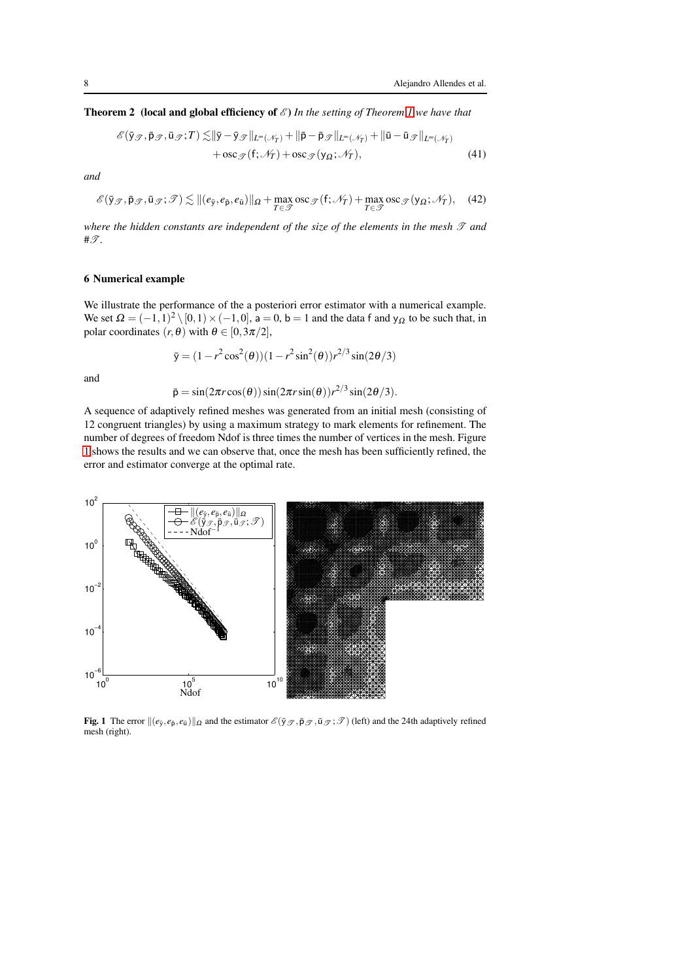Theorem 2 (local and global efficiency of  $\mathscr E$ ) In the setting of Theorem [1](#page-2-4) we have that

$$
\mathcal{E}(\bar{y}_{\mathcal{F}}, \bar{p}_{\mathcal{F}}, \bar{u}_{\mathcal{F}}; T) \lesssim ||\bar{y} - \bar{y}_{\mathcal{F}}||_{L^{\infty}(\mathcal{N}_{T})} + ||\bar{p} - \bar{p}_{\mathcal{F}}||_{L^{\infty}(\mathcal{N}_{T})} + ||\bar{u} - \bar{u}_{\mathcal{F}}||_{L^{\infty}(\mathcal{N}_{T})} + \text{osc}_{\mathcal{F}}(f; \mathcal{N}_{T}) + \text{osc}_{\mathcal{F}}(y_{\Omega}; \mathcal{N}_{T}),
$$
(41)

*and*

$$
\mathscr{E}(\bar{\mathsf{y}}_{\mathscr{T}},\bar{\mathsf{p}}_{\mathscr{T}},\bar{\mathsf{u}}_{\mathscr{T}};\mathscr{T}) \lesssim \| (e_{\bar{\mathsf{y}}},e_{\bar{\mathsf{p}}},e_{\bar{\mathsf{u}}}) \|_{\Omega} + \max_{T \in \mathscr{T}} \mathrm{osc}_{\mathscr{T}}(f;\mathscr{N}_T) + \max_{T \in \mathscr{T}} \mathrm{osc}_{\mathscr{T}}(\mathsf{y}_{\Omega};\mathscr{N}_T), \quad (42)
$$

*where the hidden constants are independent of the size of the elements in the mesh*  $\mathscr T$  *and* # $\mathscr{T}$ .

## 6 Numerical example

We illustrate the performance of the a posteriori error estimator with a numerical example. We set  $\Omega = (-1,1)^2 \setminus [0,1) \times (-1,0]$ ,  $a = 0$ ,  $b = 1$  and the data f and  $y_{\Omega}$  to be such that, in polar coordinates  $(r, \theta)$  with  $\theta \in [0, 3\pi/2]$ ,

$$
\bar{y} = (1 - r^2 \cos^2(\theta)) (1 - r^2 \sin^2(\theta)) r^{2/3} \sin(2\theta/3)
$$

and

$$
\bar{\mathsf{p}} = \sin(2\pi r \cos(\theta)) \sin(2\pi r \sin(\theta)) r^{2/3} \sin(2\theta/3).
$$

A sequence of adaptively refined meshes was generated from an initial mesh (consisting of 12 congruent triangles) by using a maximum strategy to mark elements for refinement. The number of degrees of freedom Ndof is three times the number of vertices in the mesh. Figure [1](#page-7-0) shows the results and we can observe that, once the mesh has been sufficiently refined, the error and estimator converge at the optimal rate.



<span id="page-7-0"></span>Fig. 1 The error  $\|(e_{\bar{y}},e_{\bar{p}},e_{\bar{u}})\|_{\Omega}$  and the estimator  $\mathscr{E}(\bar{y},\bar{y},\bar{p},\bar{y},\bar{u},\bar{y};\mathscr{T})$  (left) and the 24th adaptively refined mesh (right).